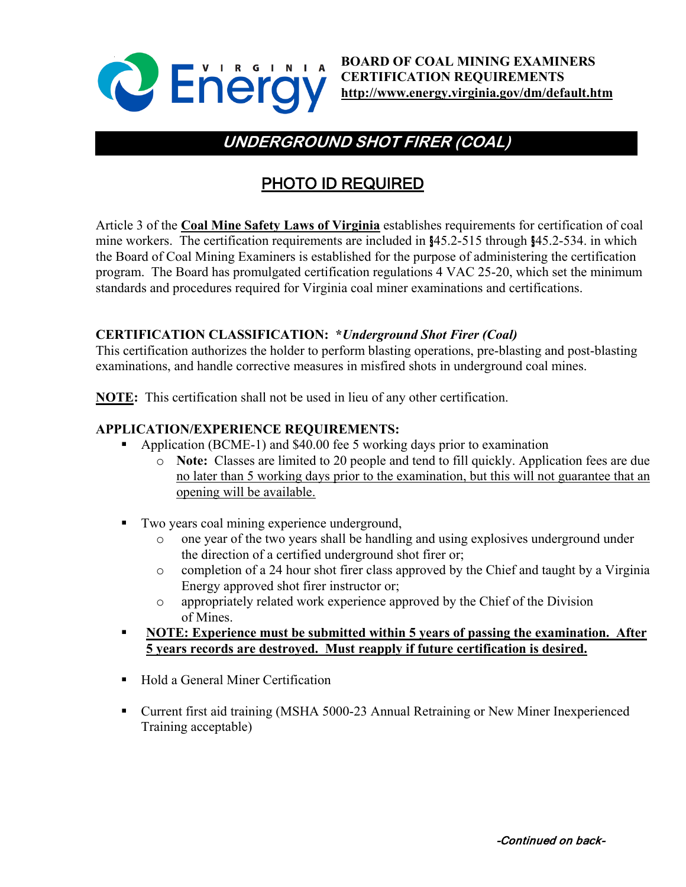

**BOARD OF COAL MINING EXAMINERS CERTIFICATION REQUIREMENTS <http://www.energy.virginia.gov/dm/default.htm>**

# **UNDERGROUND SHOT FIRER (COAL)**

## PHOTO ID REQUIRED

Article 3 of the **Coal Mine Safety Laws of Virginia** establishes requirements for certification of coal mine workers. The certification requirements are included in §45.2-515 through §45.2-534. in which the Board of Coal Mining Examiners is established for the purpose of administering the certification program. The Board has promulgated certification regulations 4 VAC 25-20, which set the minimum standards and procedures required for Virginia coal miner examinations and certifications.

### **CERTIFICATION CLASSIFICATION: \****Underground Shot Firer (Coal)*

This certification authorizes the holder to perform blasting operations, pre-blasting and post-blasting examinations, and handle corrective measures in misfired shots in underground coal mines.

**NOTE:** This certification shall not be used in lieu of any other certification.

#### **APPLICATION/EXPERIENCE REQUIREMENTS:**

- Application (BCME-1) and \$40.00 fee 5 working days prior to examination
	- o **Note:** Classes are limited to 20 people and tend to fill quickly. Application fees are due no later than 5 working days prior to the examination, but this will not guarantee that an opening will be available.
- Two years coal mining experience underground,
	- $\circ$  one year of the two years shall be handling and using explosives underground under the direction of a certified underground shot firer or;
	- o completion of a 24 hour shot firer class approved by the Chief and taught by a Virginia Energy approved shot firer instructor or;
	- o appropriately related work experience approved by the Chief of the Division of Mines.
- **NOTE: Experience must be submitted within 5 years of passing the examination. After 5 years records are destroyed. Must reapply if future certification is desired.**
- Hold a General Miner Certification
- Current first aid training (MSHA 5000-23 Annual Retraining or New Miner Inexperienced Training acceptable)